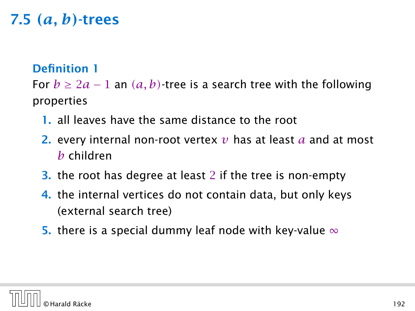#### Definition 1

For  $b \ge 2a - 1$  an  $(a, b)$ -tree is a search tree with the following properties

- 1. all leaves have the same distance to the root
- 2. every internal non-root vertex *v* has at least *a* and at most *b* children
- 3. the root has degree at least 2 if the tree is non-empty
- 4. the internal vertices do not contain data, but only keys (external search tree)
- 5. there is a special dummy leaf node with key-value  $\infty$

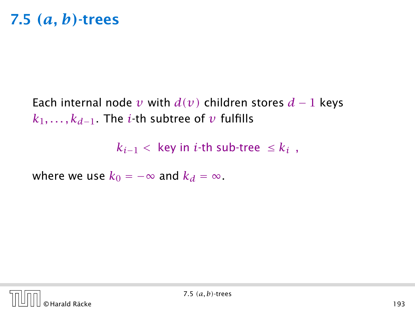Each internal node *v* with  $d(v)$  children stores  $d-1$  keys *k*1*, . . . , kd*−1. The *i*-th subtree of *v* fulfills

 $k_{i-1}$  < key in *i*-th sub-tree ≤  $k_i$ ,

where we use  $k_0 = -\infty$  and  $k_d = \infty$ .

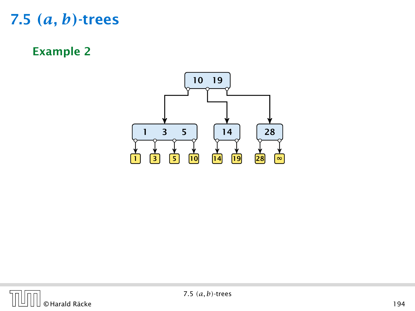Example 2



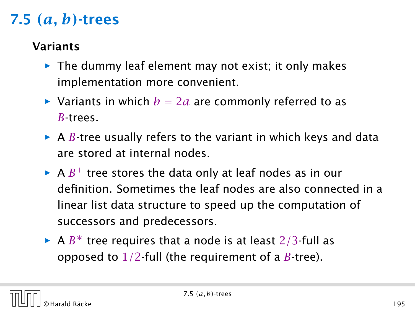#### Variants

- **►** The dummy leaf element may not exist; it only makes implementation more convenient.
- Variants in which  $b = 2a$  are commonly referred to as *B*-trees.
- $\triangleright$  A *B*-tree usually refers to the variant in which keys and data are stored at internal nodes.
- $\blacktriangleright$  A  $B^+$  tree stores the data only at leaf nodes as in our definition. Sometimes the leaf nodes are also connected in a linear list data structure to speed up the computation of successors and predecessors.
- ► A *B*<sup>\*</sup> tree requires that a node is at least 2/3-full as opposed to 1*/*2-full (the requirement of a *B*-tree).

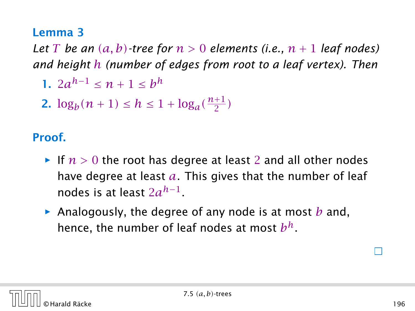#### Lemma 3

*Let T be an*  $(a, b)$ *-tree for*  $n > 0$  *elements (i.e.,*  $n + 1$  *leaf nodes) and height h (number of edges from root to a leaf vertex). Then*

- **1.**  $2a^{h-1}$  ≤  $n + 1$  ≤  $b^h$
- 2.  $\log_b(n+1) \leq h \leq 1 + \log_a(\frac{n+1}{2})$  $\frac{1}{2}$

#### Proof.

- $\blacktriangleright$  If  $n > 0$  the root has degree at least 2 and all other nodes have degree at least *a*. This gives that the number of leaf nodes is at least 2*a h*−1 .
- *ñ* Analogously, the degree of any node is at most *b* and, hence, the number of leaf nodes at most *b h*.

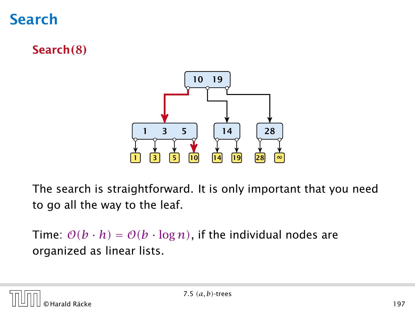

Search*(*8*)*



The search is straightforward. It is only important that you need to go all the way to the leaf.

Time:  $O(b \cdot h) = O(b \cdot \log n)$ , if the individual nodes are organized as linear lists.

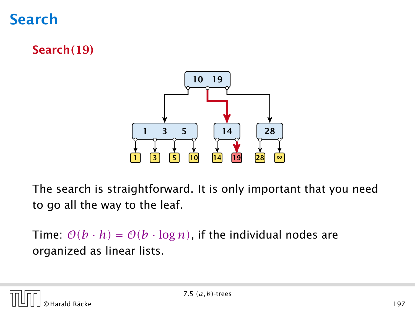

Search*(*19*)*



The search is straightforward. It is only important that you need to go all the way to the leaf.

Time:  $O(b \cdot h) = O(b \cdot \log n)$ , if the individual nodes are organized as linear lists.

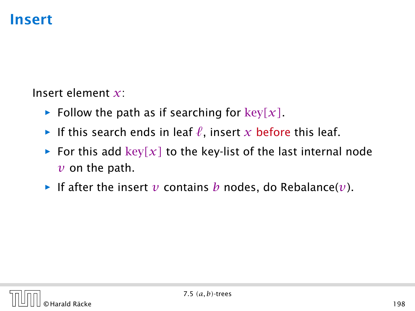Insert element *x*:

- **Follow the path as if searching for key** $[x]$ .
- **F** If this search ends in leaf  $\ell$ , insert  $x$  before this leaf.
- For this add  $key[x]$  to the key-list of the last internal node  $\nu$  on the path.
- $\blacktriangleright$  If after the insert  $\nu$  contains  $b$  nodes, do Rebalance( $\nu$ ).

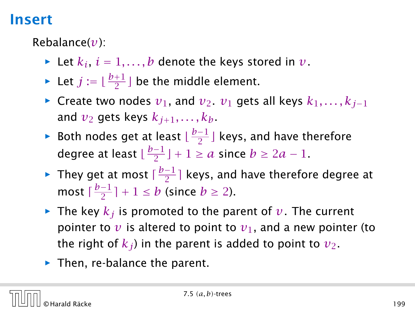Rebalance(*v*):

- $\blacktriangleright$  Let  $k_i$ ,  $i = 1, \ldots, b$  denote the keys stored in  $v$ .
- $\blacktriangleright$  Let  $j := \lfloor \frac{b+1}{2} \rfloor$  be the middle element.
- *►* Create two nodes  $v_1$ , and  $v_2$ .  $v_1$  gets all keys  $k_1, \ldots, k_{j-1}$ and  $v_2$  gets keys  $k_{i+1}, \ldots, k_b$ .
- **►** Both nodes get at least  $\lfloor \frac{b-1}{2} \rfloor$  $\frac{-1}{2}$  ] keys, and have therefore degree at least L<sup>b−1</sup>  $\frac{-1}{2}$  | + 1  $\ge a$  since  $b \ge 2a - 1$ .
- **►** They get at most  $\lceil \frac{b-1}{2} \rceil$  $\frac{-1}{2}$ ] keys, and have therefore degree at most  $\lceil \frac{b-1}{2} \rceil$  $\frac{-1}{2}$  | + 1  $\leq b$  (since  $b \geq 2$ ).
- $\blacktriangleright$  The key  $k_i$  is promoted to the parent of  $v$ . The current pointer to  $\nu$  is altered to point to  $\nu_1$ , and a new pointer (to the right of  $k_j$ ) in the parent is added to point to  $v_2$ .
- ▶ Then, re-balance the parent.

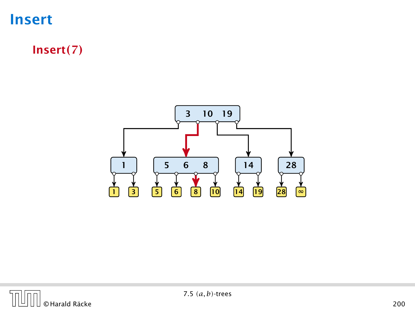Insert*(*7*)*





7.5 *(a, b)*-trees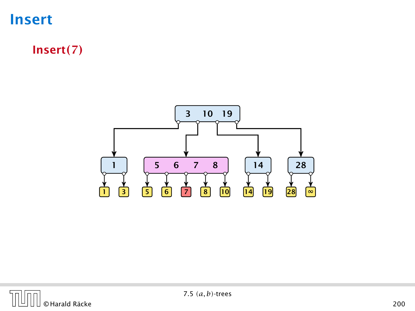

Insert*(*7*)*



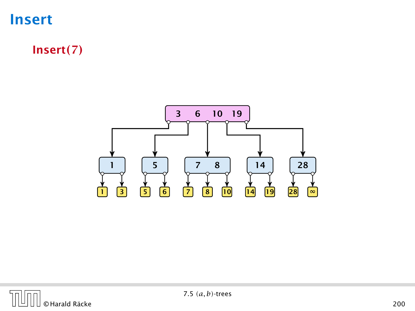

Insert*(*7*)*



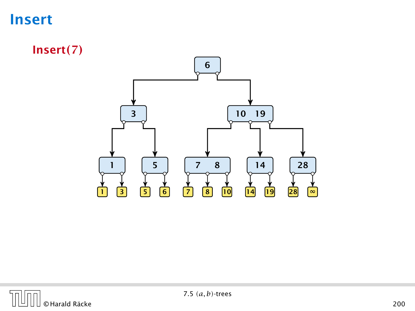Insert*(*7*)*



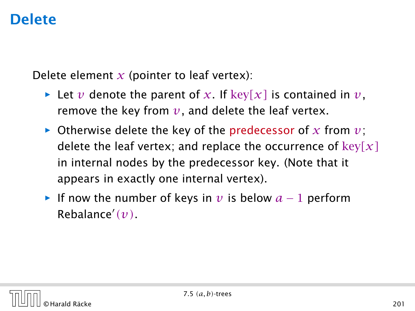### Delete

Delete element  $x$  (pointer to leaf vertex):

- $\blacktriangleright$  Let *v* denote the parent of *x*. If key $[x]$  is contained in *v*, remove the key from  $v$ , and delete the leaf vertex.
- $\triangleright$  Otherwise delete the key of the predecessor of x from  $v$ ; delete the leaf vertex; and replace the occurrence of key*[x]* in internal nodes by the predecessor key. (Note that it appears in exactly one internal vertex).
- $\triangleright$  If now the number of keys in *v* is below  $a 1$  perform Rebalance<sup>0</sup> *(v)*.

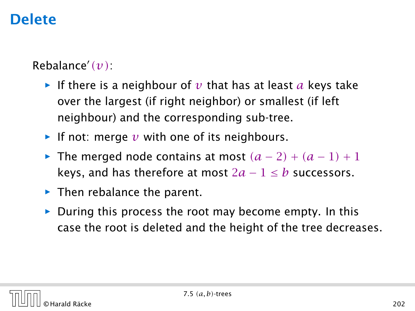# Delete

#### Rebalance<sup>0</sup> *(v)*:

- **F** If there is a neighbour of  $v$  that has at least  $a$  keys take over the largest (if right neighbor) or smallest (if left neighbour) and the corresponding sub-tree.
- $\blacktriangleright$  If not: merge  $\nu$  with one of its neighbours.
- *►* The merged node contains at most  $(a-2) + (a-1) + 1$ keys, and has therefore at most  $2a - 1 \leq b$  successors.
- ▶ Then rebalance the parent.
- During this process the root may become empty. In this case the root is deleted and the height of the tree decreases.

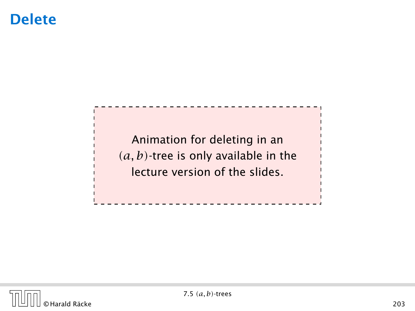#### **Delete**

Animation for deleting in an *(a, b)*-tree is only available in the lecture version of the slides.

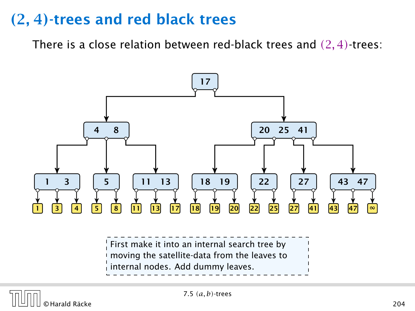There is a close relation between red-black trees and *(*2*,* 4*)*-trees:



First make it into an internal search tree by moving the satellite-data from the leaves to internal nodes. Add dummy leaves.

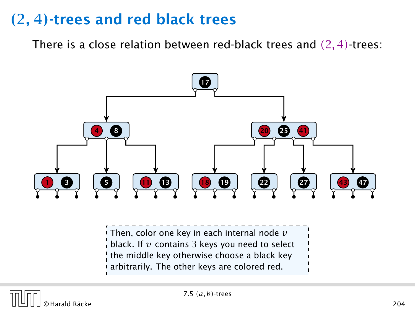There is a close relation between red-black trees and *(*2*,* 4*)*-trees:



 $\frac{1}{2}$  Then, color one key in each internal node  $\nu$  $\frac{1}{4}$  black. If  $v$  contains 3 keys you need to select the middle key otherwise choose a black key arbitrarily. The other keys are colored red.

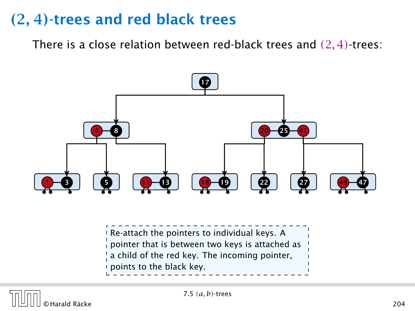There is a close relation between red-black trees and *(*2*,* 4*)*-trees:



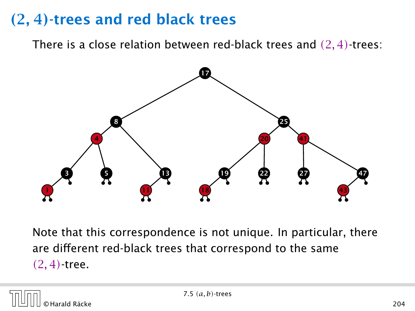There is a close relation between red-black trees and *(*2*,* 4*)*-trees:



Note that this correspondence is not unique. In particular, there are different red-black trees that correspond to the same *(*2*,* 4*)*-tree.